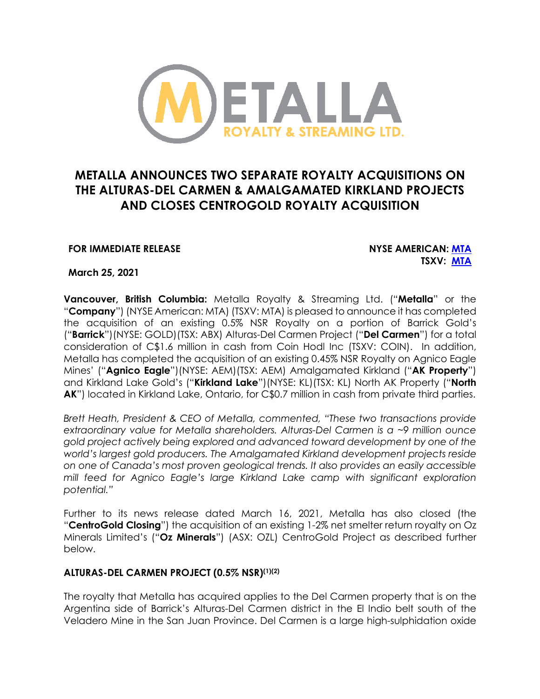

# **METALLA ANNOUNCES TWO SEPARATE ROYALTY ACQUISITIONS ON THE ALTURAS-DEL CARMEN & AMALGAMATED KIRKLAND PROJECTS AND CLOSES CENTROGOLD ROYALTY ACQUISITION**

# **FOR IMMEDIATE RELEASE NYSE AMERICAN: MTA**

# **TSXV: MTA**

**March 25, 2021**

**Vancouver, British Columbia:** Metalla Royalty & Streaming Ltd. ("**Metalla**" or the "**Company**") (NYSE American: MTA) (TSXV: MTA) is pleased to announce it has completed the acquisition of an existing 0.5% NSR Royalty on a portion of Barrick Gold's ("**Barrick**")(NYSE: GOLD)(TSX: ABX) Alturas-Del Carmen Project ("**Del Carmen**") for a total consideration of C\$1.6 million in cash from Coin Hodl Inc (TSXV: COIN). In addition, Metalla has completed the acquisition of an existing 0.45% NSR Royalty on Agnico Eagle Mines' ("**Agnico Eagle**")(NYSE: AEM)(TSX: AEM) Amalgamated Kirkland ("**AK Property**") and Kirkland Lake Gold's ("**Kirkland Lake**")(NYSE: KL)(TSX: KL) North AK Property ("**North AK**") located in Kirkland Lake, Ontario, for C\$0.7 million in cash from private third parties.

*Brett Heath, President & CEO of Metalla, commented, "These two transactions provide extraordinary value for Metalla shareholders. Alturas-Del Carmen is a ~9 million ounce gold project actively being explored and advanced toward development by one of the world's largest gold producers. The Amalgamated Kirkland development projects reside on one of Canada's most proven geological trends. It also provides an easily accessible mill feed for Agnico Eagle's large Kirkland Lake camp with significant exploration potential."* 

Further to its news release dated March 16, 2021, Metalla has also closed (the "**CentroGold Closing**") the acquisition of an existing 1-2% net smelter return royalty on Oz Minerals Limited's ("**Oz Minerals**") (ASX: OZL) CentroGold Project as described further below.

# **ALTURAS-DEL CARMEN PROJECT (0.5% NSR)(1)(2)**

The royalty that Metalla has acquired applies to the Del Carmen property that is on the Argentina side of Barrick's Alturas-Del Carmen district in the El Indio belt south of the Veladero Mine in the San Juan Province. Del Carmen is a large high-sulphidation oxide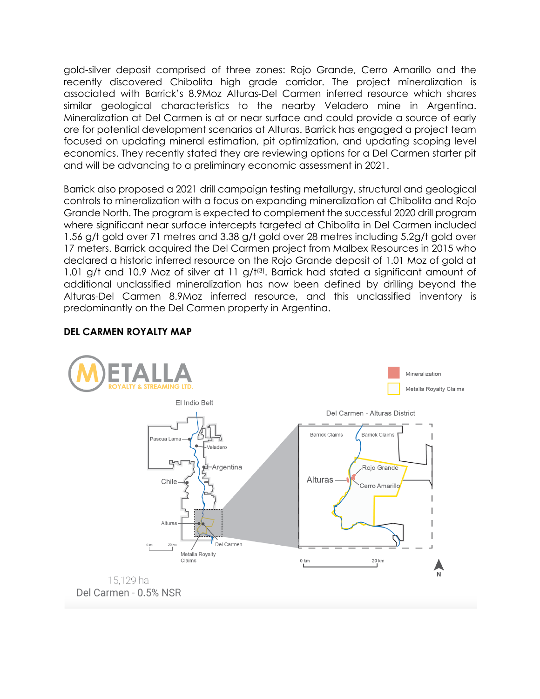gold-silver deposit comprised of three zones: Rojo Grande, Cerro Amarillo and the recently discovered Chibolita high grade corridor. The project mineralization is associated with Barrick's 8.9Moz Alturas-Del Carmen inferred resource which shares similar geological characteristics to the nearby Veladero mine in Argentina. Mineralization at Del Carmen is at or near surface and could provide a source of early ore for potential development scenarios at Alturas. Barrick has engaged a project team focused on updating mineral estimation, pit optimization, and updating scoping level economics. They recently stated they are reviewing options for a Del Carmen starter pit and will be advancing to a preliminary economic assessment in 2021.

Barrick also proposed a 2021 drill campaign testing metallurgy, structural and geological controls to mineralization with a focus on expanding mineralization at Chibolita and Rojo Grande North. The program is expected to complement the successful 2020 drill program where significant near surface intercepts targeted at Chibolita in Del Carmen included 1.56 g/t gold over 71 metres and 3.38 g/t gold over 28 metres including 5.2g/t gold over 17 meters. Barrick acquired the Del Carmen project from Malbex Resources in 2015 who declared a historic inferred resource on the Rojo Grande deposit of 1.01 Moz of gold at 1.01 g/t and 10.9 Moz of silver at 11 g/t<sup>(3)</sup>. Barrick had stated a significant amount of additional unclassified mineralization has now been defined by drilling beyond the Alturas-Del Carmen 8.9Moz inferred resource, and this unclassified inventory is predominantly on the Del Carmen property in Argentina.

# **DEL CARMEN ROYALTY MAP**

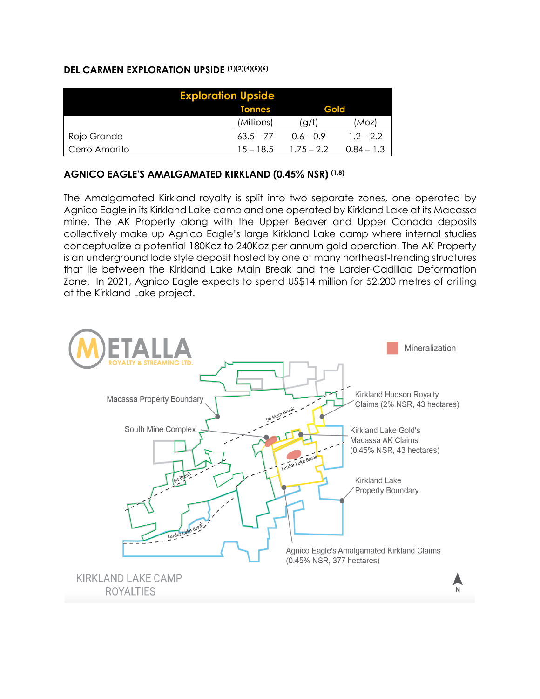# **DEL CARMEN EXPLORATION UPSIDE (1)(2)(4)(5)(6)**

| <b>Exploration Upside</b> |               |              |              |  |  |
|---------------------------|---------------|--------------|--------------|--|--|
|                           | <b>Tonnes</b> | Gold         |              |  |  |
|                           | (Millions)    | (g/t)        | (Moz)        |  |  |
| Rojo Grande               | $63.5 - 77$   | $0.6 - 0.9$  | $1.2 - 2.2$  |  |  |
| Cerro Amarillo            | $15 - 18.5$   | $1.75 - 2.2$ | $0.84 - 1.3$ |  |  |

# **AGNICO EAGLE'S AMALGAMATED KIRKLAND (0.45% NSR) (1,8)**

The Amalgamated Kirkland royalty is split into two separate zones, one operated by Agnico Eagle in its Kirkland Lake camp and one operated by Kirkland Lake at its Macassa mine. The AK Property along with the Upper Beaver and Upper Canada deposits collectively make up Agnico Eagle's large Kirkland Lake camp where internal studies conceptualize a potential 180Koz to 240Koz per annum gold operation. The AK Property is an underground lode style deposit hosted by one of many northeast-trending structures that lie between the Kirkland Lake Main Break and the Larder-Cadillac Deformation Zone. In 2021, Agnico Eagle expects to spend US\$14 million for 52,200 metres of drilling at the Kirkland Lake project.

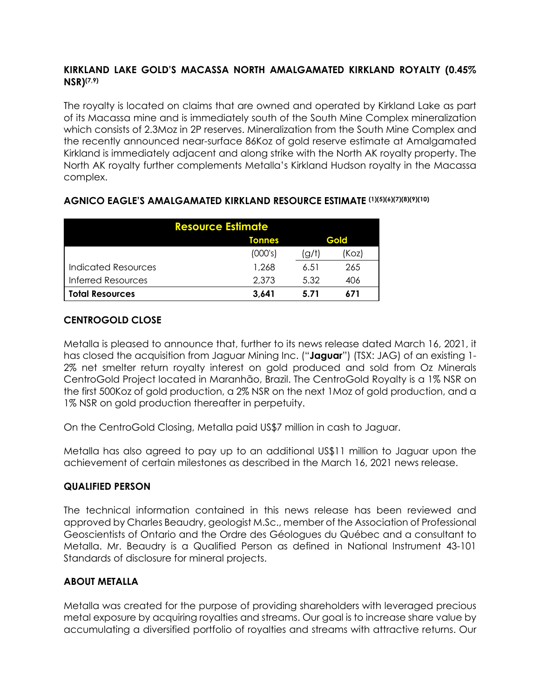# **KIRKLAND LAKE GOLD'S MACASSA NORTH AMALGAMATED KIRKLAND ROYALTY (0.45% NSR)(7,9)**

The royalty is located on claims that are owned and operated by Kirkland Lake as part of its Macassa mine and is immediately south of the South Mine Complex mineralization which consists of 2.3Moz in 2P reserves. Mineralization from the South Mine Complex and the recently announced near-surface 86Koz of gold reserve estimate at Amalgamated Kirkland is immediately adjacent and along strike with the North AK royalty property. The North AK royalty further complements Metalla's Kirkland Hudson royalty in the Macassa complex.

| <b>Resource Estimate</b>   |               |       |       |  |  |
|----------------------------|---------------|-------|-------|--|--|
|                            | <b>Tonnes</b> | Gold  |       |  |  |
|                            | (000's)       | (g/t) | 'Koz) |  |  |
| <b>Indicated Resources</b> | 1,268         | 6.51  | 265   |  |  |
| <b>Inferred Resources</b>  | 2,373         | 5.32  | 406   |  |  |
| <b>Total Resources</b>     | 3.641         | 5.71  | 671   |  |  |

# **AGNICO EAGLE'S AMALGAMATED KIRKLAND RESOURCE ESTIMATE (1)(5)(6)(7)(8)(9)(10)**

# **CENTROGOLD CLOSE**

Metalla is pleased to announce that, further to its news release dated March 16, 2021, it has closed the acquisition from Jaguar Mining Inc. ("**Jaguar**") (TSX: JAG) of an existing 1- 2% net smelter return royalty interest on gold produced and sold from Oz Minerals CentroGold Project located in Maranhão, Brazil. The CentroGold Royalty is a 1% NSR on the first 500Koz of gold production, a 2% NSR on the next 1Moz of gold production, and a 1% NSR on gold production thereafter in perpetuity.

On the CentroGold Closing, Metalla paid US\$7 million in cash to Jaguar.

Metalla has also agreed to pay up to an additional US\$11 million to Jaguar upon the achievement of certain milestones as described in the March 16, 2021 news release.

# **QUALIFIED PERSON**

The technical information contained in this news release has been reviewed and approved by Charles Beaudry, geologist M.Sc., member of the Association of Professional Geoscientists of Ontario and the Ordre des Géologues du Québec and a consultant to Metalla. Mr. Beaudry is a Qualified Person as defined in National Instrument 43-101 Standards of disclosure for mineral projects.

# **ABOUT METALLA**

Metalla was created for the purpose of providing shareholders with leveraged precious metal exposure by acquiring royalties and streams. Our goal is to increase share value by accumulating a diversified portfolio of royalties and streams with attractive returns. Our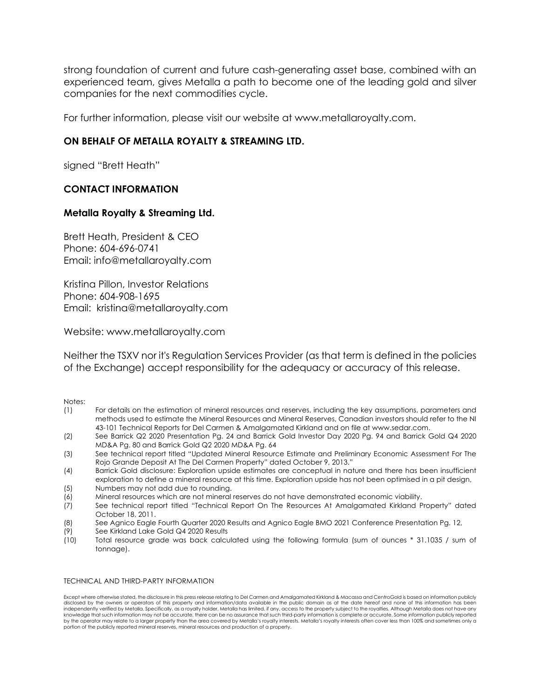strong foundation of current and future cash-generating asset base, combined with an experienced team, gives Metalla a path to become one of the leading gold and silver companies for the next commodities cycle.

For further information, please visit our website at www.metallaroyalty.com.

# **ON BEHALF OF METALLA ROYALTY & STREAMING LTD.**

signed "Brett Heath"

## **CONTACT INFORMATION**

## **Metalla Royalty & Streaming Ltd.**

Brett Heath, President & CEO Phone: 604-696-0741 Email: info@metallaroyalty.com

Kristina Pillon, Investor Relations Phone: 604-908-1695 Email: kristina@metallaroyalty.com

Website: www.metallaroyalty.com

Neither the TSXV nor it's Regulation Services Provider (as that term is defined in the policies of the Exchange) accept responsibility for the adequacy or accuracy of this release.

Notes:

- (1) For details on the estimation of mineral resources and reserves, including the key assumptions, parameters and methods used to estimate the Mineral Resources and Mineral Reserves, Canadian investors should refer to the NI 43-101 Technical Reports for Del Carmen & Amalgamated Kirkland and on file at www.sedar.com.
- (2) See Barrick Q2 2020 Presentation Pg. 24 and Barrick Gold Investor Day 2020 Pg. 94 and Barrick Gold Q4 2020 MD&A Pg. 80 and Barrick Gold Q2 2020 MD&A Pg. 64
- (3) See technical report titled "Updated Mineral Resource Estimate and Preliminary Economic Assessment For The Rojo Grande Deposit At The Del Carmen Property" dated October 9, 2013."
- (4) Barrick Gold disclosure: Exploration upside estimates are conceptual in nature and there has been insufficient exploration to define a mineral resource at this time. Exploration upside has not been optimised in a pit design,
- (5) Numbers may not add due to rounding.
- (6) Mineral resources which are not mineral reserves do not have demonstrated economic viability.
- (7) See technical report titled "Technical Report On The Resources At Amalgamated Kirkland Property" dated October 18, 2011.
- (8) See Agnico Eagle Fourth Quarter 2020 Results and Agnico Eagle BMO 2021 Conference Presentation Pg. 12,
- (9) See Kirkland Lake Gold Q4 2020 Results
- (10) Total resource grade was back calculated using the following formula (sum of ounces \* 31.1035 / sum of tonnage).

### TECHNICAL AND THIRD-PARTY INFORMATION

Except where otherwise stated, the disclosure in this press release relating to Del Carmen and Amalgamated Kirkland & Macassa and CentroGold is based on information publicly disclosed by the owners or operators of this property and information/data available in the public domain as at the date hereof and none of this information has been independently verified by Metalla. Specifically, as a royalty holder, Metalla has limited, if any, access to the property subject to the royalties. Although Metalla does not have any knowledge that such information may not be accurate, there can be no assurance that such third-party information is complete or accurate. Some information publicly reported by the operator may relate to a larger property than the area covered by Metalla's royalty interests. Metalla's royalty interests often cover less than 100% and sometimes only a portion of the publicly reported mineral reserves, mineral resources and production of a property.